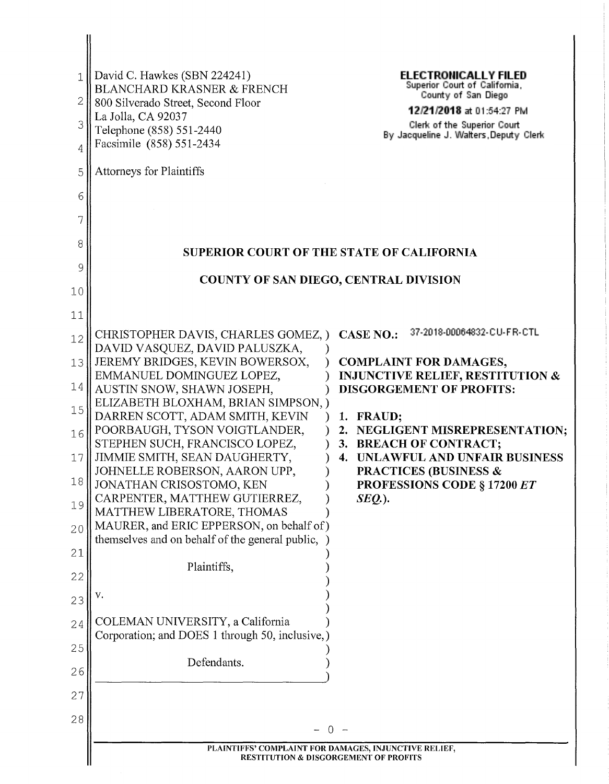| 3<br>4<br>5<br>6<br>7<br>8<br>9<br>10<br>11<br>12<br>13<br>14<br>15<br>16<br>17<br>18<br>19<br>20<br>21<br>22<br>23<br>24<br>25<br>26<br>27 | Telephone (858) 551-2440<br>Facsimile (858) 551-2434<br><b>Attorneys for Plaintiffs</b><br><b>COUNTY OF SAN DIEGO, CENTRAL DIVISION</b><br>CHRISTOPHER DAVIS, CHARLES GOMEZ, )<br>DAVID VASQUEZ, DAVID PALUSZKA,<br>JEREMY BRIDGES, KEVIN BOWERSOX,<br>EMMANUEL DOMINGUEZ LOPEZ,<br>AUSTIN SNOW, SHAWN JOSEPH,<br>ELIZABETH BLOXHAM, BRIAN SIMPSON, )<br>DARREN SCOTT, ADAM SMITH, KEVIN<br>POORBAUGH, TYSON VOIGTLANDER,<br>STEPHEN SUCH, FRANCISCO LOPEZ,<br>JIMMIE SMITH, SEAN DAUGHERTY,<br>JOHNELLE ROBERSON, AARON UPP,<br>JONATHAN CRISOSTOMO, KEN<br>CARPENTER, MATTHEW GUTIERREZ,<br>MATTHEW LIBERATORE, THOMAS<br>MAURER, and ERIC EPPERSON, on behalf of)<br>themselves and on behalf of the general public,<br>Plaintiffs,<br>v.<br>COLEMAN UNIVERSITY, a California<br>Corporation; and DOES 1 through 50, inclusive,<br>Defendants. | Clerk of the Superior Court<br>By Jacqueline J. Walters, Deputy Clerk<br>37-2018-00064832-CU-FR-CTL<br><b>CASE NO.:</b><br><b>COMPLAINT FOR DAMAGES,</b><br><b>INJUNCTIVE RELIEF, RESTITUTION &amp;</b><br><b>DISGORGEMENT OF PROFITS:</b><br>1. FRAUD;<br>2. NEGLIGENT MISREPRESENTATION;<br>3. BREACH OF CONTRACT;<br>UNLAWFUL AND UNFAIR BUSINESS<br>4.<br><b>PRACTICES (BUSINESS &amp;</b><br>PROFESSIONS CODE § 17200 ET<br>$SEQ.$ ). |  |
|---------------------------------------------------------------------------------------------------------------------------------------------|---------------------------------------------------------------------------------------------------------------------------------------------------------------------------------------------------------------------------------------------------------------------------------------------------------------------------------------------------------------------------------------------------------------------------------------------------------------------------------------------------------------------------------------------------------------------------------------------------------------------------------------------------------------------------------------------------------------------------------------------------------------------------------------------------------------------------------------------------|--------------------------------------------------------------------------------------------------------------------------------------------------------------------------------------------------------------------------------------------------------------------------------------------------------------------------------------------------------------------------------------------------------------------------------------------|--|
| 2                                                                                                                                           | David C. Hawkes (SBN 224241)<br><b>BLANCHARD KRASNER &amp; FRENCH</b>                                                                                                                                                                                                                                                                                                                                                                                                                                                                                                                                                                                                                                                                                                                                                                             | <b>ELECTRONICALLY FILED</b><br>Superior Court of California,<br>County of San Diego                                                                                                                                                                                                                                                                                                                                                        |  |
|                                                                                                                                             | 800 Silverado Street, Second Floor<br>La Jolla, CA 92037                                                                                                                                                                                                                                                                                                                                                                                                                                                                                                                                                                                                                                                                                                                                                                                          | 12/21/2018 at 01:54:27 PM                                                                                                                                                                                                                                                                                                                                                                                                                  |  |
|                                                                                                                                             |                                                                                                                                                                                                                                                                                                                                                                                                                                                                                                                                                                                                                                                                                                                                                                                                                                                   |                                                                                                                                                                                                                                                                                                                                                                                                                                            |  |
|                                                                                                                                             |                                                                                                                                                                                                                                                                                                                                                                                                                                                                                                                                                                                                                                                                                                                                                                                                                                                   |                                                                                                                                                                                                                                                                                                                                                                                                                                            |  |
|                                                                                                                                             |                                                                                                                                                                                                                                                                                                                                                                                                                                                                                                                                                                                                                                                                                                                                                                                                                                                   |                                                                                                                                                                                                                                                                                                                                                                                                                                            |  |
|                                                                                                                                             |                                                                                                                                                                                                                                                                                                                                                                                                                                                                                                                                                                                                                                                                                                                                                                                                                                                   |                                                                                                                                                                                                                                                                                                                                                                                                                                            |  |
|                                                                                                                                             | <b>SUPERIOR COURT OF THE STATE OF CALIFORNIA</b>                                                                                                                                                                                                                                                                                                                                                                                                                                                                                                                                                                                                                                                                                                                                                                                                  |                                                                                                                                                                                                                                                                                                                                                                                                                                            |  |
|                                                                                                                                             |                                                                                                                                                                                                                                                                                                                                                                                                                                                                                                                                                                                                                                                                                                                                                                                                                                                   |                                                                                                                                                                                                                                                                                                                                                                                                                                            |  |
|                                                                                                                                             |                                                                                                                                                                                                                                                                                                                                                                                                                                                                                                                                                                                                                                                                                                                                                                                                                                                   |                                                                                                                                                                                                                                                                                                                                                                                                                                            |  |
|                                                                                                                                             |                                                                                                                                                                                                                                                                                                                                                                                                                                                                                                                                                                                                                                                                                                                                                                                                                                                   |                                                                                                                                                                                                                                                                                                                                                                                                                                            |  |
|                                                                                                                                             |                                                                                                                                                                                                                                                                                                                                                                                                                                                                                                                                                                                                                                                                                                                                                                                                                                                   |                                                                                                                                                                                                                                                                                                                                                                                                                                            |  |
|                                                                                                                                             |                                                                                                                                                                                                                                                                                                                                                                                                                                                                                                                                                                                                                                                                                                                                                                                                                                                   |                                                                                                                                                                                                                                                                                                                                                                                                                                            |  |
|                                                                                                                                             |                                                                                                                                                                                                                                                                                                                                                                                                                                                                                                                                                                                                                                                                                                                                                                                                                                                   |                                                                                                                                                                                                                                                                                                                                                                                                                                            |  |
|                                                                                                                                             |                                                                                                                                                                                                                                                                                                                                                                                                                                                                                                                                                                                                                                                                                                                                                                                                                                                   |                                                                                                                                                                                                                                                                                                                                                                                                                                            |  |
|                                                                                                                                             |                                                                                                                                                                                                                                                                                                                                                                                                                                                                                                                                                                                                                                                                                                                                                                                                                                                   |                                                                                                                                                                                                                                                                                                                                                                                                                                            |  |
|                                                                                                                                             |                                                                                                                                                                                                                                                                                                                                                                                                                                                                                                                                                                                                                                                                                                                                                                                                                                                   |                                                                                                                                                                                                                                                                                                                                                                                                                                            |  |
|                                                                                                                                             |                                                                                                                                                                                                                                                                                                                                                                                                                                                                                                                                                                                                                                                                                                                                                                                                                                                   |                                                                                                                                                                                                                                                                                                                                                                                                                                            |  |
|                                                                                                                                             |                                                                                                                                                                                                                                                                                                                                                                                                                                                                                                                                                                                                                                                                                                                                                                                                                                                   |                                                                                                                                                                                                                                                                                                                                                                                                                                            |  |
|                                                                                                                                             |                                                                                                                                                                                                                                                                                                                                                                                                                                                                                                                                                                                                                                                                                                                                                                                                                                                   |                                                                                                                                                                                                                                                                                                                                                                                                                                            |  |
|                                                                                                                                             |                                                                                                                                                                                                                                                                                                                                                                                                                                                                                                                                                                                                                                                                                                                                                                                                                                                   |                                                                                                                                                                                                                                                                                                                                                                                                                                            |  |
|                                                                                                                                             |                                                                                                                                                                                                                                                                                                                                                                                                                                                                                                                                                                                                                                                                                                                                                                                                                                                   |                                                                                                                                                                                                                                                                                                                                                                                                                                            |  |
|                                                                                                                                             |                                                                                                                                                                                                                                                                                                                                                                                                                                                                                                                                                                                                                                                                                                                                                                                                                                                   |                                                                                                                                                                                                                                                                                                                                                                                                                                            |  |
|                                                                                                                                             |                                                                                                                                                                                                                                                                                                                                                                                                                                                                                                                                                                                                                                                                                                                                                                                                                                                   |                                                                                                                                                                                                                                                                                                                                                                                                                                            |  |
|                                                                                                                                             |                                                                                                                                                                                                                                                                                                                                                                                                                                                                                                                                                                                                                                                                                                                                                                                                                                                   |                                                                                                                                                                                                                                                                                                                                                                                                                                            |  |
|                                                                                                                                             |                                                                                                                                                                                                                                                                                                                                                                                                                                                                                                                                                                                                                                                                                                                                                                                                                                                   |                                                                                                                                                                                                                                                                                                                                                                                                                                            |  |
|                                                                                                                                             |                                                                                                                                                                                                                                                                                                                                                                                                                                                                                                                                                                                                                                                                                                                                                                                                                                                   |                                                                                                                                                                                                                                                                                                                                                                                                                                            |  |
| 28                                                                                                                                          |                                                                                                                                                                                                                                                                                                                                                                                                                                                                                                                                                                                                                                                                                                                                                                                                                                                   |                                                                                                                                                                                                                                                                                                                                                                                                                                            |  |
|                                                                                                                                             | PLAINTIFFS' COMPLAINT FOR DAMAGES, INJUNCTIVE RELIEF,<br><b>RESTITUTION &amp; DISGORGEMENT OF PROFITS</b>                                                                                                                                                                                                                                                                                                                                                                                                                                                                                                                                                                                                                                                                                                                                         |                                                                                                                                                                                                                                                                                                                                                                                                                                            |  |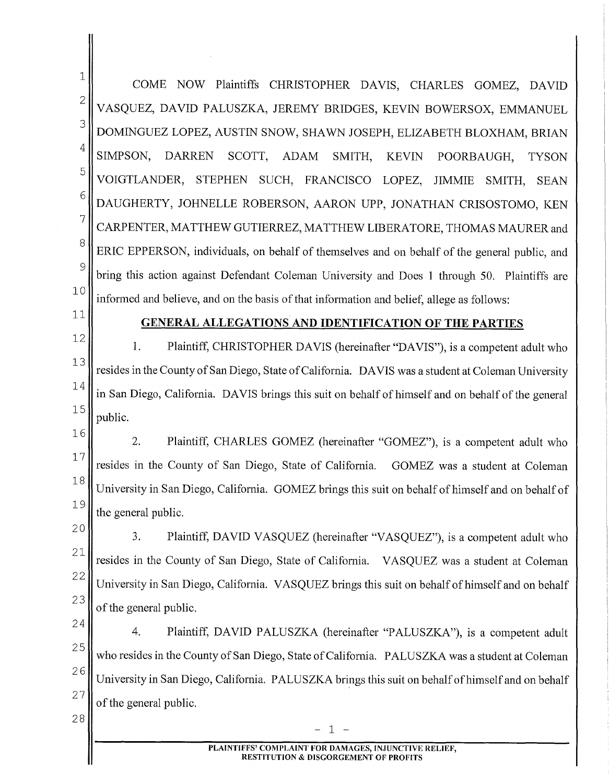1 2 3 4 5 6 7 8 9 10 COME NOW Plaintiffs CHRISTOPHER DAVIS, CHARLES GOMEZ, DAVID VASQUEZ, DAVID PALUSZKA, JEREMY BRIDGES, KEVIN BOWERSOX, EMMANUEL DOMINGUEZ LOPEZ, AUSTIN SNOW, SHAWN JOSEPH, ELIZABETH BLOXHAM, BRIAN SIMPSON, DARREN SCOTT, ADAM SMITH, KEVIN POORBAUGH, TYSON VOIGTLANDER, STEPHEN SUCH, FRANCISCO LOPEZ, JIMMIE SMITH, SEAN DAUGHERTY, JOHNELLE ROBERSON, AARON UPP, JONATHAN CRISOSTOMO, KEN CARPENTER, MATTHEW GUTIERREZ, MATTHEW LIBERATORE, THOMAS MAURER and ERIC EPPERSON, individuals, on behalf of themselves and on behalf of the general public, and bring this action against Defendant Coleman University and Does 1 through 50. Plaintiffs are informed and believe, and on the basis of that information and belief, allege as follows:

11

#### 12

28

## **GENERAL ALLEGATIONS AND IDENTIFICATION OF THE PARTIES**

13 14 15 1. Plaintiff, CHRISTOPHER DA VIS (hereinafter "DA VIS"), is a competent adult who resides in the County of San Diego, State of California. DA VIS was a student at Coleman University in San Diego, California. DA VIS brings this suit on behalf of himself and on behalf of the general public.

16 17 18 19 2. Plaintiff, CHARLES GOMEZ (hereinafter "GOMEZ"), is a competent adult who resides in the County of San Diego, State of California. GOMEZ was a student at Coleman University in San Diego, California. GOMEZ brings this suit on behalf of himself and on behalf of the general public.

20 21 22 23 3. Plaintiff, DAVID VASQUEZ (hereinafter "VASQUEZ"), is a competent adult who resides in the County of San Diego, State of California. VASQUEZ was a student at Coleman University in San Diego, California. VASQUEZ brings this suit on behalf of himself and on behalf of the general public.

24 25 26 27 4. Plaintiff, DAVID PALUSZKA (hereinafter "PALUSZKA"), is a competent adult who resides in the County of San Diego, State of California. P ALUSZKA was a student at Coleman University in San Diego, California. P ALUSZKA brings this suit on behalf of himself and on behalf of the general public.

- 1 -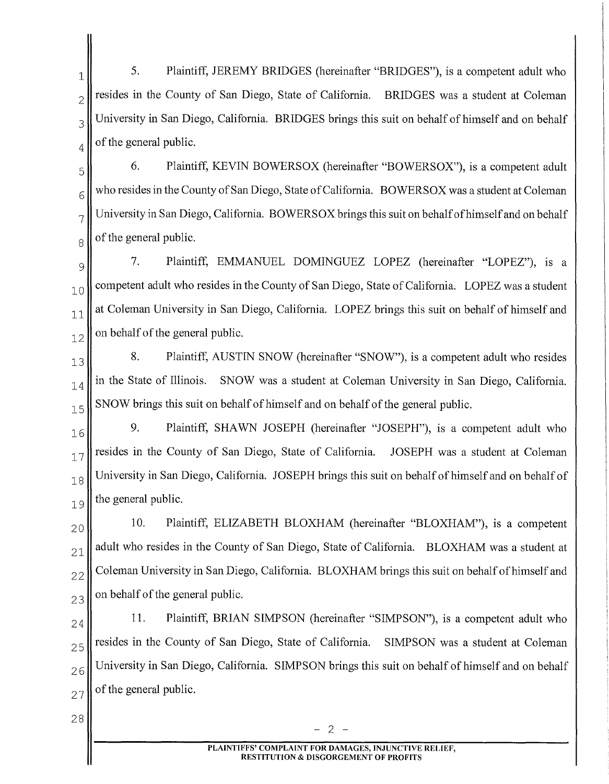$\begin{bmatrix} 1 \end{bmatrix}$  5. Plaintiff, JEREMY BRIDGES (hereinafter "BRIDGES"), is a competent adult who  $2\pi$  resides in the County of San Diego, State of California. BRIDGES was a student at Coleman  $3$  University in San Diego, California. BRIDGES brings this suit on behalf of himself and on behalf  $_4$  of the general public.

 $\begin{bmatrix} 5 \end{bmatrix}$  6. Plaintiff, KEVIN BOWERSOX (hereinafter "BOWERSOX"), is a competent adult  $6 \parallel$  who resides in the County of San Diego, State of California. BOWERSOX was a student at Coleman  $7$  University in San Diego, California. BOWERSOX brings this suit on behalf of himself and on behalf  $8 \parallel$  of the general public.

 $\mathcal{G}$  7. Plaintiff, EMMANUEL DOMINGUEZ LOPEZ (hereinafter "LOPEZ"), is a  $10$  competent adult who resides in the County of San Diego, State of California. LOPEZ was a student  $11$  at Coleman University in San Diego, California. LOPEZ brings this suit on behalf of himself and  $\mathbb{1}_2$  on behalf of the general public.

 $\begin{bmatrix} 13 \end{bmatrix}$  8. Plaintiff, AUSTIN SNOW (hereinafter "SNOW"), is a competent adult who resides  $14$  in the State of Illinois. SNOW was a student at Coleman University in San Diego, California.  $15$  SNOW brings this suit on behalf of himself and on behalf of the general public.

 $16$  9. Plaintiff, SHAWN JOSEPH (hereinafter "JOSEPH"), is a competent adult who  $17$  resides in the County of San Diego, State of California. JOSEPH was a student at Coleman <sub>18</sub> University in San Diego, California. JOSEPH brings this suit on behalf of himself and on behalf of  $_{19}$  the general public.

 10. Plaintiff, ELIZABETH BLOXHAM (hereinafter "BLOXHAM"), is a competent adult who resides in the County of San Diego, State of California. BLOXHAM was a student at Coleman University in San Diego, California. BLOXHAM brings this suit on behalf of himself and on behalf of the general public.

 11. Plaintiff, BRIAN SIMPSON (hereinafter "SIMPSON"), is a competent adult who resides in the County of San Diego, State of California. SIMPSON was a student at Coleman University in San Diego, California. SIMPSON brings this suit on behalf of himself and on behalf of the general public.

28

- 2 -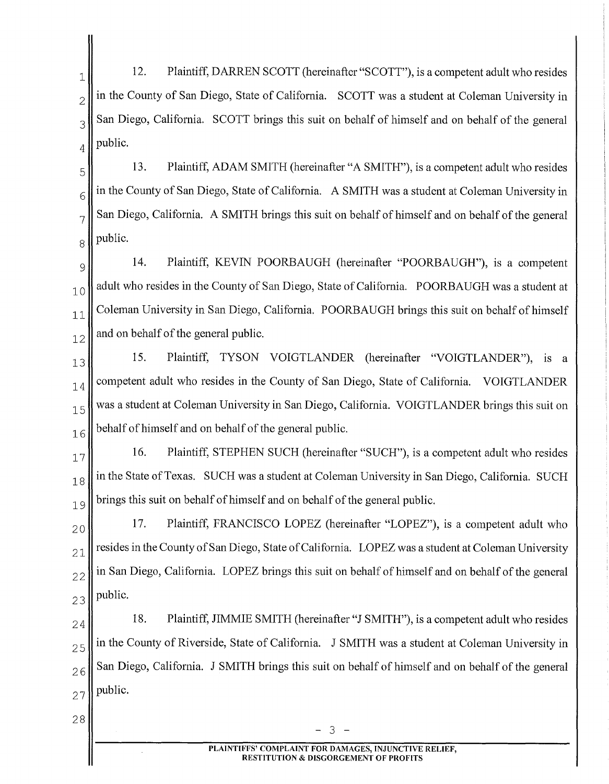12. Plaintiff, DARREN SCOTT (hereinafter "SCOTT"), is a competent adult who resides  $2 \parallel$  in the County of San Diego, State of California. SCOTT was a student at Coleman University in  $3$  San Diego, California. SCOTT brings this suit on behalf of himself and on behalf of the general  $_4$  | public.

 $\begin{bmatrix} 5 \end{bmatrix}$  13. Plaintiff, ADAM SMITH (hereinafter "A SMITH"), is a competent adult who resides  $6 \parallel$  in the County of San Diego, State of California. A SMITH was a student at Coleman University in  $7 \parallel$  San Diego, California. A SMITH brings this suit on behalf of himself and on behalf of the general  $8$  || public.

 $\mathcal{O}_{\mathcal{P}}$  14. Plaintiff, KEVIN POORBAUGH (hereinafter "POORBAUGH"), is a competent  $_{10}$  adult who resides in the County of San Diego, State of California. POORBAUGH was a student at  $11$  Coleman University in San Diego, California. POORBAUGH brings this suit on behalf of himself  $_{12}$  and on behalf of the general public.

 15. Plaintiff, TYSON VOIGTLANDER (hereinafter "VOIGTLANDER"), is a  $_{14}$  competent adult who resides in the County of San Diego, State of California. VOIGTLANDER was a student at Coleman University in San Diego, California. VOIGTLANDER brings this suit on behalf of himself and on behalf of the general public.

 $17$ <sup>1</sup> 16. Plaintiff, STEPHEN SUCH (hereinafter "SUCH"), is a competent adult who resides  $_{18}$  in the State of Texas. SUCH was a student at Coleman University in San Diego, California. SUCH  $19$  brings this suit on behalf of himself and on behalf of the general public.

 $20$  17. Plaintiff, FRANCISCO LOPEZ (hereinafter "LOPEZ"), is a competent adult who  $_{21}$  resides in the County of San Diego, State of California. LOPEZ was a student at Coleman University  $22$  in San Diego, California. LOPEZ brings this suit on behalf of himself and on behalf of the general  $23$  public.

 $24$  18. Plaintiff, JIMMIE SMITH (hereinafter "J SMITH"), is a competent adult who resides  $2.5$  in the County of Riverside, State of California. J SMITH was a student at Coleman University in  $26$  San Diego, California. J SMITH brings this suit on behalf of himself and on behalf of the general  $27$  public.

 $28 \t - 3 -$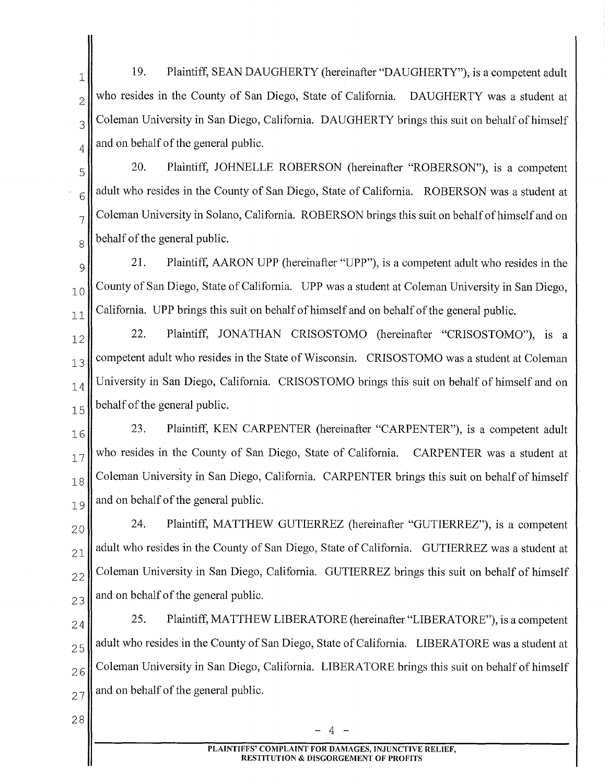19. Plaintiff, SEAN DAUGHERTY (hereinafter "DAUGHERTY"), is a competent adult  $2\parallel$  who resides in the County of San Diego, State of California. DAUGHERTY was a student at  $3\parallel$  Coleman University in San Diego, California. DAUGHERTY brings this suit on behalf of himself  $_{4}$  and on behalf of the general public.

 $\begin{bmatrix} 5 \\ 5 \end{bmatrix}$  20. Plaintiff, JOHNELLE ROBERSON (hereinafter "ROBERSON"), is a competent  $6 \parallel$  adult who resides in the County of San Diego, State of California. ROBERSON was a student at  $7 \parallel$  Coleman University in Solano, California. ROBERSON brings this suit on behalf of himself and on  $8 \parallel$  behalf of the general public.

 $\mathcal{P}_{\mathcal{P}}$  21. Plaintiff, AARON UPP (hereinafter "UPP"), is a competent adult who resides in the  $10$  County of San Diego, State of California. UPP was a student at Coleman University in San Diego,  $11$  California. UPP brings this suit on behalf of himself and on behalf of the general public.

 $\|12\|$  22. Plaintiff, JONATHAN CRISOSTOMO (hereinafter "CRISOSTOMO"), is a  $13$  competent adult who resides in the State of Wisconsin. CRISOSTOMO was a student at Coleman  $_{14}$  University in San Diego, California. CRISOSTOMO brings this suit on behalf of himself and on  $\begin{bmatrix} 15 \\ 5 \end{bmatrix}$  behalf of the general public.

 $\begin{bmatrix} 16 \end{bmatrix}$  23. Plaintiff, KEN CARPENTER (hereinafter "CARPENTER"), is a competent adult  $17$  who resides in the County of San Diego, State of California. CARPENTER was a student at  $18$  Coleman University in San Diego, California. CARPENTER brings this suit on behalf of himself  $_{19}$  and on behalf of the general public.

 24. Plaintiff, MATTHEW GUTIERREZ (hereinafter "GUTIERREZ"), is a competent adult who resides in the County of San Diego, State of California. GUTIERREZ was a student at Coleman University in San Diego, California. GUTIERREZ brings this suit on behalf of himself and on behalf of the general public.

 25. Plaintiff, MATTHEW LIBERATORE (hereinafter "LIBERATORE"), is a competent adult who resides in the County of San Diego, State of California. LIBERATORE was a student at Coleman University in San Diego, California. LIBERATORE brings this suit on behalf of himself and on behalf of the general public.

 $-4 -$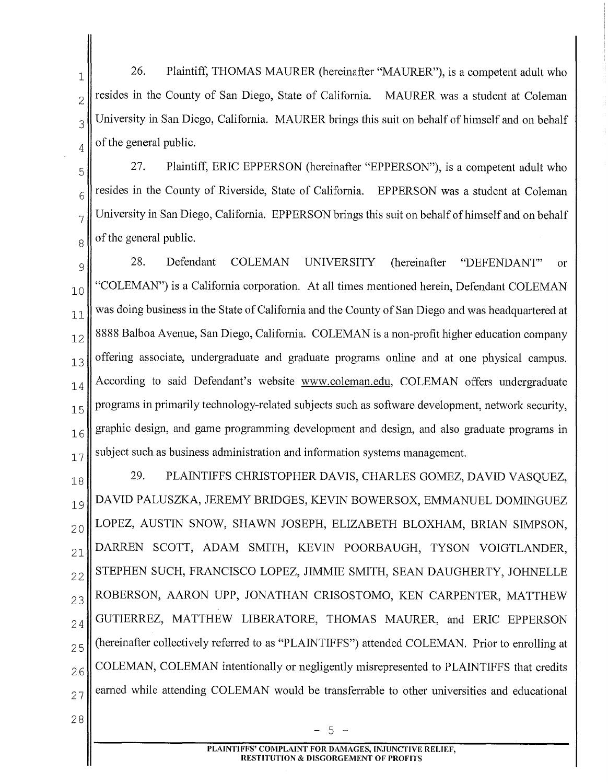$\parallel$  26. Plaintiff, THOMAS MAURER (hereinafter "MAURER"), is a competent adult who  $2\pi$  resides in the County of San Diego, State of California. MAURER was a student at Coleman  $3$  University in San Diego, California. MAURER brings this suit on behalf of himself and on behalf  $_4$  of the general public.

 $\begin{bmatrix} 5 \end{bmatrix}$  27. Plaintiff, ERIC EPPERSON (hereinafter "EPPERSON"), is a competent adult who  $6$  resides in the County of Riverside, State of California. EPPERSON was a student at Coleman  $7$  University in San Diego, California. EPPERSON brings this suit on behalf of himself and on behalf  $8 \parallel$  of the general public.

9|| 28. Defendant COLEMAN UNIVERSITY (hereinafter "DEFENDANT" or "COLEMAN") is a California corporation. At all times mentioned herein, Defendant COLEMAN was doing business in the State of California and the County of San Diego and was headquartered at 8888 Balboa Avenue, San Diego, California. COLEMAN is a non-profit higher education company offering associate, undergraduate and graduate programs online and at one physical campus.  $_{14}$  According to said Defendant's website www.coleman.edu, COLEMAN offers undergraduate programs in primarily technology-related subjects such as software development, network security,  $_{16}$  graphic design, and game programming development and design, and also graduate programs in subject such as business administration and information systems management.

 $\|18\|$  29. PLAINTIFFS CHRISTOPHER DAVIS, CHARLES GOMEZ, DAVID VASQUEZ, <sub>19</sub> DAVID PALUSZKA, JEREMY BRIDGES, KEVIN BOWERSOX, EMMANUEL DOMINGUEZ  $_{20}$  LOPEZ, AUSTIN SNOW, SHAWN JOSEPH, ELIZABETH BLOXHAM, BRIAN SIMPSON,  $_{21}$  DARREN SCOTT, ADAM SMITH, KEVIN POORBAUGH, TYSON VOIGTLANDER,  $_{22}$  STEPHEN SUCH, FRANCISCO LOPEZ, JIMMIE SMITH, SEAN DAUGHERTY, JOHNELLE 23 ROBERSON, AARON UPP, JONATHAN CRISOSTOMO, KEN CARPENTER, MATTHEW  $_{2,4}$  GUTIERREZ, MATTHEW LIBERATORE, THOMAS MAURER, and ERIC EPPERSON  $2.5$  (hereinafter collectively referred to as "PLAINTIFFS") attended COLEMAN. Prior to enrolling at  $26$  COLEMAN, COLEMAN intentionally or negligently misrepresented to PLAINTIFFS that credits  $27$  earned while attending COLEMAN would be transferrable to other universities and educational

28

- 5 -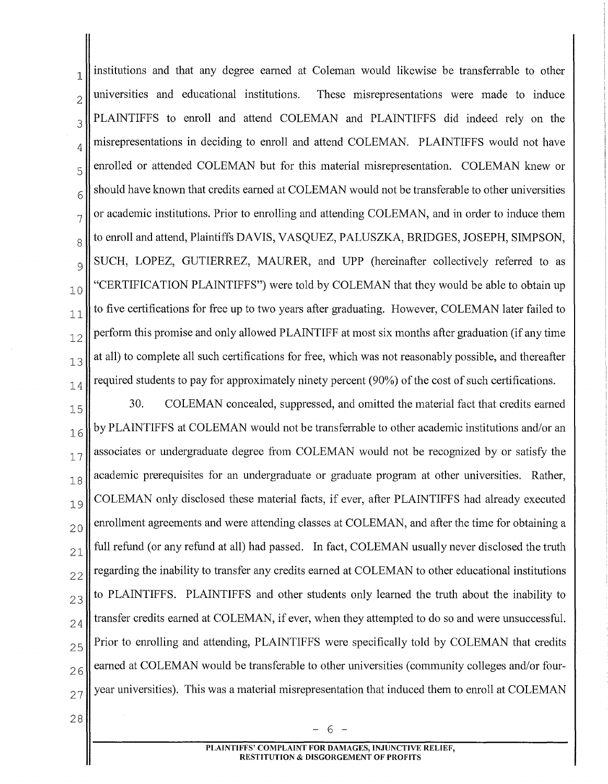$_{1}$  institutions and that any degree earned at Coleman would likewise be transferrable to other  $2\parallel$  universities and educational institutions. These misrepresentations were made to induce  $3$  PLAINTIFFS to enroll and attend COLEMAN and PLAINTIFFS did indeed rely on the  $_{4}$  misrepresentations in deciding to enroll and attend COLEMAN. PLAINTIFFS would not have  $5\parallel$  enrolled or attended COLEMAN but for this material misrepresentation. COLEMAN knew or  $6 \parallel$  should have known that credits earned at COLEMAN would not be transferable to other universities  $7 \parallel \text{or academic institutions. Prior to enrolling and attending COLEMAN, and in order to induce them}$  $8 \parallel$  to enroll and attend, Plaintiffs DAVIS, VASQUEZ, PALUSZKA, BRIDGES, JOSEPH, SIMPSON,  $\mathcal{O}_9$  SUCH, LOPEZ, GUTIERREZ, MAURER, and UPP (hereinafter collectively referred to as  $_{10}$  "CERTIFICATION PLAINTIFFS") were told by COLEMAN that they would be able to obtain up  $11$  to five certifications for free up to two years after graduating. However, COLEMAN later failed to  $12$  perform this promise and only allowed PLAINTIFF at most six months after graduation (if any time  $13$  at all) to complete all such certifications for free, which was not reasonably possible, and thereafter  $_{14}$  required students to pay for approximately ninety percent (90%) of the cost of such certifications.

 $15$  30. COLEMAN concealed, suppressed, and omitted the material fact that credits earned  $_{16}$  by PLAINTIFFS at COLEMAN would not be transferrable to other academic institutions and/or an  $17$  associates or undergraduate degree from COLEMAN would not be recognized by or satisfy the  $18$  academic prerequisites for an undergraduate or graduate program at other universities. Rather,  $_{19}$  COLEMAN only disclosed these material facts, if ever, after PLAINTIFFS had already executed  $_{20}$  enrollment agreements and were attending classes at COLEMAN, and after the time for obtaining a  $_{21}$  full refund (or any refund at all) had passed. In fact, COLEMAN usually never disclosed the truth  $22$  regarding the inability to transfer any credits earned at COLEMAN to other educational institutions  $23$  to PLAINTIFFS. PLAINTIFFS and other students only learned the truth about the inability to  $_{24}$  transfer credits earned at COLEMAN, if ever, when they attempted to do so and were unsuccessful.  $25$  Prior to enrolling and attending, PLAINTIFFS were specifically told by COLEMAN that credits  $26$  earned at COLEMAN would be transferable to other universities (community colleges and/or four- $_{27}$  year universities). This was a material misrepresentation that induced them to enroll at COLEMAN

28

- 6 -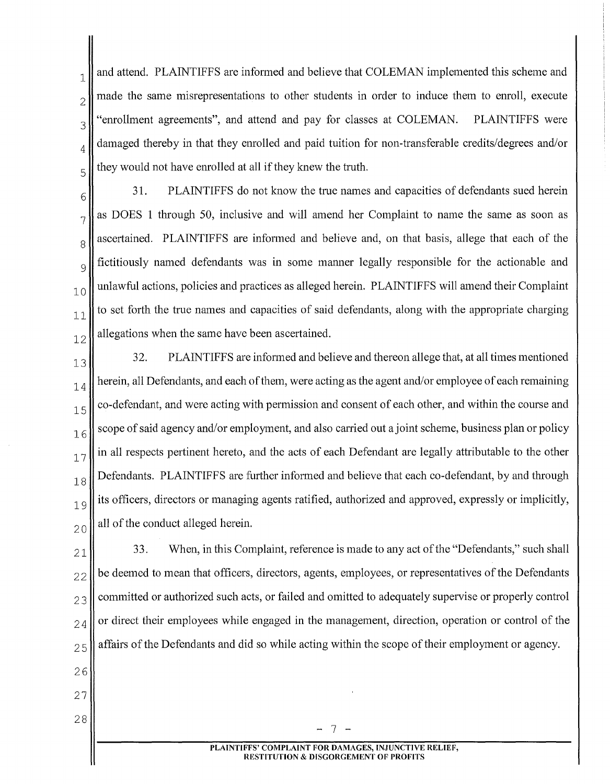$_{1}$  and attend. PLAINTIFFS are informed and believe that COLEMAN implemented this scheme and  $2\parallel$  made the same misrepresentations to other students in order to induce them to enroll, execute  $3$ <sup>"</sup>enrollment agreements", and attend and pay for classes at COLEMAN. PLAINTIFFS were  $_4$  damaged thereby in that they enrolled and paid tuition for non-transferable credits/degrees and/or  $5 \parallel$  they would not have enrolled at all if they knew the truth.

 $6\parallel$  31. PLAINTIFFS do not know the true names and capacities of defendants sued herein  $7 \parallel$  as DOES 1 through 50, inclusive and will amend her Complaint to name the same as soon as  $8 \text{ N}$  ascertained. PLAINTIFFS are informed and believe and, on that basis, allege that each of the  $\mathcal{O}_9$  fictitiously named defendants was in some manner legally responsible for the actionable and  $_{10}$  unlawful actions, policies and practices as alleged herein. PLAINTIFFS will amend their Complaint  $\begin{bmatrix} 1 \\ 1 \end{bmatrix}$  to set forth the true names and capacities of said defendants, along with the appropriate charging  $12$  allegations when the same have been ascertained.

 $13$ <sup>32.</sup> PLAINTIFFS are informed and believe and thereon allege that, at all times mentioned  $_{14}$  herein, all Defendants, and each of them, were acting as the agent and/or employee of each remaining  $15$  co-defendant, and were acting with permission and consent of each other, and within the course and  $\frac{1}{6}$  scope of said agency and/or employment, and also carried out a joint scheme, business plan or policy  $17$  in all respects pertinent hereto, and the acts of each Defendant are legally attributable to the other  $_{18}$  Defendants. PLAINTIFFS are further informed and believe that each co-defendant, by and through  $_{19}$  its officers, directors or managing agents ratified, authorized and approved, expressly or implicitly,  $_{20}$  all of the conduct alleged herein.

 33. When, in this Complaint, reference is made to any act of the "Defendants," such shall be deemed to mean that officers, directors, agents, employees, or representatives of the Defendants committed or authorized such acts, or failed and omitted to adequately supervise or properly control  $_{24}$  or direct their employees while engaged in the management, direction, operation or control of the affairs of the Defendants and did so while acting within the scope of their employment or agency.

26

27

 $28 \begin{bmatrix} 28 & -7 & -1 \end{bmatrix}$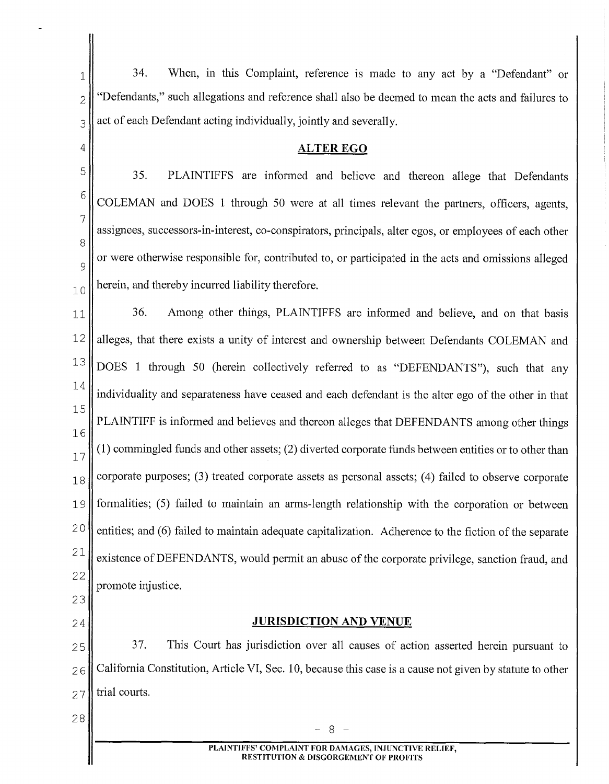$1$  34. When, in this Complaint, reference is made to any act by a "Defendant" or  $2 \parallel$  "Defendants," such allegations and reference shall also be deemed to mean the acts and failures to  $3$  act of each Defendant acting individually, jointly and severally.

#### **ALTER EGO**

5 6 7 8 35. PLAINTIFFS are informed and believe and thereon allege that Defendants COLEMAN and DOES 1 through 50 were at all times relevant the partners, officers, agents, assignees, successors-in-interest, co-conspirators, principals, alter egos, or employees of each other  $\alpha$  or were otherwise responsible for, contributed to, or participated in the acts and omissions alleged  $_{10}$  herein, and thereby incurred liability therefore.

11 36. Among other things, PLAINTIFFS are informed and believe, and on that basis 12 alleges, that there exists a unity of interest and ownership between Defendants COLEMAN and  $13$  DOES 1 through 50 (herein collectively referred to as "DEFENDANTS"), such that any 14 individuality and separateness have ceased and each defendant is the alter ego of the other in that 15 16 PLAINTIFF is informed and believes and thereon alleges that DEFENDANTS among other things (1) commingled funds and other assets; (2) diverted corporate funds between entities or to other than 17  $18$  corporate purposes; (3) treated corporate assets as personal assets; (4) failed to observe corporate 19 formalities; (5) failed to maintain an arms-length relationship with the corporation or between  $20$  entities; and (6) failed to maintain adequate capitalization. Adherence to the fiction of the separate <sup>21</sup> existence of DEFENDANTS, would permit an abuse of the corporate privilege, sanction fraud, and 22 promote injustice.

23

4

24

**JURISDICTION AND VENUE** 

25 37. This Court has jurisdiction over all causes of action asserted herein pursuant to  $26$  California Constitution, Article VI, Sec. 10, because this case is a cause not given by statute to other  $27$  trial courts.

 $28 \begin{bmatrix} 28 & -8 & -1 \end{bmatrix}$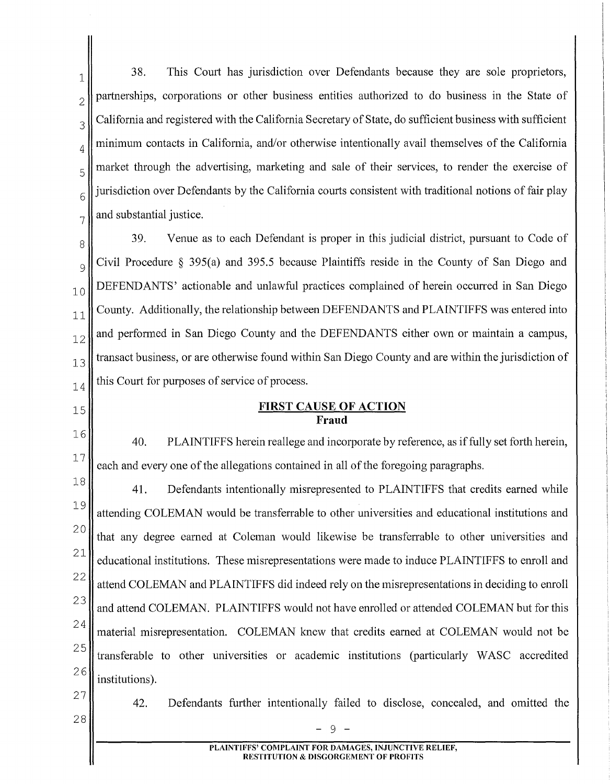$\mathbb{R}^1$  38. This Court has jurisdiction over Defendants because they are sole proprietors,  $2$  partnerships, corporations or other business entities authorized to do business in the State of  $3\parallel$  California and registered with the California Secretary of State, do sufficient business with sufficient  $_4$  minimum contacts in California, and/or otherwise intentionally avail themselves of the California  $\frac{5}{5}$  market through the advertising, marketing and sale of their services, to render the exercise of  $\begin{bmatrix} 6 \end{bmatrix}$  jurisdiction over Defendants by the California courts consistent with traditional notions of fair play  $7 \parallel$  and substantial justice.

 $8\parallel$  39. Venue as to each Defendant is proper in this judicial district, pursuant to Code of  $\mathcal{O}_9$  Civil Procedure § 395(a) and 395.5 because Plaintiffs reside in the County of San Diego and <sub>10</sub> DEFENDANTS' actionable and unlawful practices complained of herein occurred in San Diego  $_{11}$  County. Additionally, the relationship between DEFENDANTS and PLAINTIFFS was entered into  $_{12}$  and performed in San Diego County and the DEFENDANTS either own or maintain a campus,  $\begin{bmatrix} 1 & 3 \end{bmatrix}$  transact business, or are otherwise found within San Diego County and are within the jurisdiction of  $_{14}$  this Court for purposes of service of process.

## **FIRST CAUSE OF ACTION Fraud**

40. PLAINTIFFS herein reallege and incorporate by reference, as if fully set forth herein, each and every one of the allegations contained in all of the foregoing paragraphs.

18 19 20 21 22 23 24 25 26 41. Defendants intentionally misrepresented to PLAINTIFFS that credits earned while attending COLEMAN would be transferrable to other universities and educational institutions and that any degree earned at Coleman would likewise be transferrable to other universities and educational institutions. These misrepresentations were made to induce PLAINTIFFS to enroll and attend COLEMAN and PLAINTIFFS did indeed rely on the misrepresentations in deciding to enroll and attend COLEMAN. PLAINTIFFS would not have enrolled or attended COLEMAN but for this material misrepresentation. COLEMAN knew that credits earned at COLEMAN would not be transferable to other universities or academic institutions (particularly WASC accredited institutions).

27 28

15

16

17

42. Defendants further intentionally failed to disclose, concealed, and omitted the

- 9 -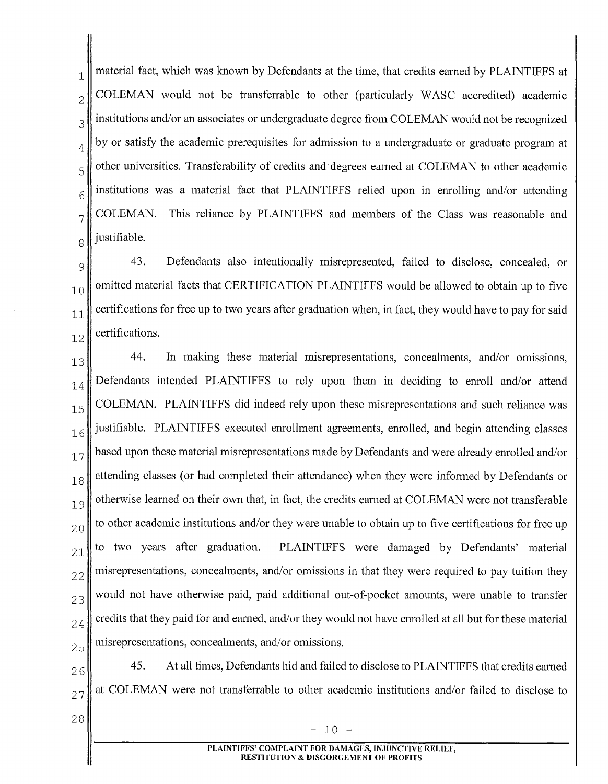$\parallel$  1 material fact, which was known by Defendants at the time, that credits earned by PLAINTIFFS at  $2\parallel$  COLEMAN would not be transferrable to other (particularly WASC accredited) academic  $3\parallel$  institutions and/or an associates or undergraduate degree from COLEMAN would not be recognized  $_{4}$  by or satisfy the academic prerequisites for admission to a undergraduate or graduate program at  $5\parallel$  other universities. Transferability of credits and degrees earned at COLEMAN to other academic  $6$  institutions was a material fact that PLAINTIFFS relied upon in enrolling and/or attending  $7$  COLEMAN. This reliance by PLAINTIFFS and members of the Class was reasonable and  $8$ || justifiable.

9<sup>1</sup>/<sub>9</sub><sup>1</sup>/<sub>9</sub><sup>1</sup>/<sub>9</sub><sup>1</sup>/<sub>9</sub><sup>1</sup>/<sub>9</sub><sup>*M*</sup>*M*<sub>2</sub>*M*<sup>3</sup>*M*<sub>2</sub>*M*<sup>3</sup>*M*<sub>2</sub>*M*<sup>3</sup>*M*<sub>2</sub>*M*<sup>3</sup>*M*<sub>3</sub><sup>*M*</sup>*M*<sup>3</sup>*M*<sup>3</sup>*M*<sup>3</sup>*M*<sup>3</sup>*M*<sup>3</sup>*M*<sup>3</sup>*M*<sup>3</sup>*M*<sup>3</sup>*M*<sup>3</sup>*M*<sup>3</sup>*M*<sup>3</sup>*M*<sup>3</sup>*M*<sup>3</sup>*M*<sup>3</sup>*M*<sup>3</sup>*M*<sup>3</sup>*M*<sup>3</sup>*M*<sup>3</sup>*M*<sup>3</sup>*M*<sup>3</sup>*M*  $_{10}$  omitted material facts that CERTIFICATION PLAINTIFFS would be allowed to obtain up to five  $11$  certifications for free up to two years after graduation when, in fact, they would have to pay for said  $_{12}$  certifications.

 $13$  44. In making these material misrepresentations, concealments, and/or omissions,  $_{14}$  Defendants intended PLAINTIFFS to rely upon them in deciding to enroll and/or attend  $_{15}$ COLEMAN. PLAINTIFFS did indeed rely upon these misrepresentations and such reliance was  $_{16}$  justifiable. PLAINTIFFS executed enrollment agreements, enrolled, and begin attending classes  $17$  based upon these material misrepresentations made by Defendants and were already enrolled and/or  $_{18}$  attending classes (or had completed their attendance) when they were informed by Defendants or  $_{19}$  otherwise learned on their own that, in fact, the credits earned at COLEMAN were not transferable  $20$  to other academic institutions and/or they were unable to obtain up to five certifications for free up  $21$  to two years after graduation. PLAINTIFFS were damaged by Defendants' material  $22$  misrepresentations, concealments, and/or omissions in that they were required to pay tuition they  $23$  would not have otherwise paid, paid additional out-of-pocket amounts, were unable to transfer  $_{24}$  credits that they paid for and earned, and/or they would not have enrolled at all but for these material  $25$  misrepresentations, concealments, and/or omissions.

 $26$  45. At all times, Defendants hid and failed to disclose to PLAINTIFFS that credits earned  $27$  at COLEMAN were not transferrable to other academic institutions and/or failed to disclose to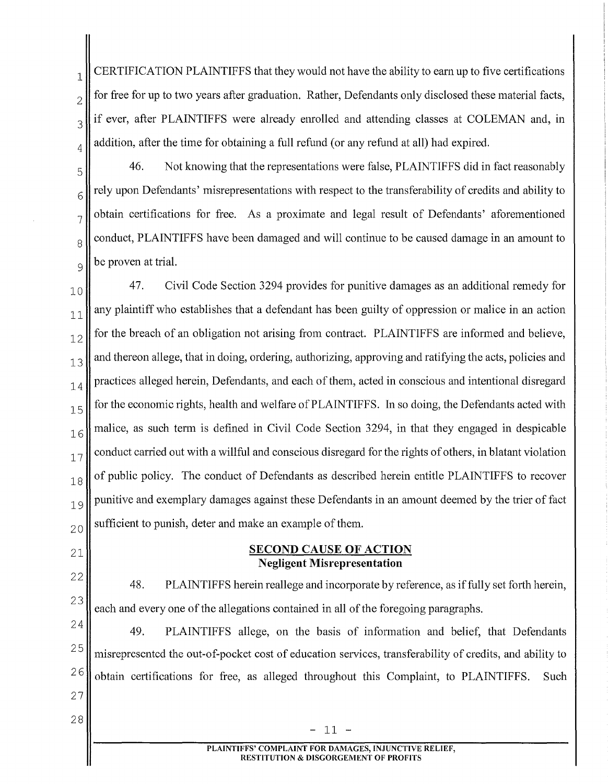$\mathbf{1}$  CERTIFICATION PLAINTIFFS that they would not have the ability to earn up to five certifications  $2\parallel$  for free for up to two years after graduation. Rather, Defendants only disclosed these material facts,  $3$  if ever, after PLAINTIFFS were already enrolled and attending classes at COLEMAN and, in  $_{4}$  addition, after the time for obtaining a full refund (or any refund at all) had expired.

21

 $\begin{bmatrix} 5 \end{bmatrix}$  46. Not knowing that the representations were false, PLAINTIFFS did in fact reasonably  $\frac{1}{6}$  rely upon Defendants' misrepresentations with respect to the transferability of credits and ability to  $7\parallel$  obtain certifications for free. As a proximate and legal result of Defendants' aforementioned  $\frac{8}{8}$  conduct, PLAINTIFFS have been damaged and will continue to be caused damage in an amount to  $\mathcal{O}_{\mathcal{Q}}$  be proven at trial.

 $\begin{bmatrix} 1 & 0 \end{bmatrix}$  47. Civil Code Section 3294 provides for punitive damages as an additional remedy for  $\begin{bmatrix} 1 \\ 1 \end{bmatrix}$  any plaintiff who establishes that a defendant has been guilty of oppression or malice in an action  $12$  for the breach of an obligation not arising from contract. PLAINTIFFS are informed and believe,  $13$  and thereon allege, that in doing, ordering, authorizing, approving and ratifying the acts, policies and  $_{14}$  practices alleged herein, Defendants, and each of them, acted in conscious and intentional disregard  $15$  for the economic rights, health and welfare of PLAINTIFFS. In so doing, the Defendants acted with  $16$  malice, as such term is defined in Civil Code Section 3294, in that they engaged in despicable  $17$  conduct carried out with a willful and conscious disregard for the rights of others, in blatant violation  $18$  of public policy. The conduct of Defendants as described herein entitle PLAINTIFFS to recover  $_{19}$  punitive and exemplary damages against these Defendants in an amount deemed by the trier of fact  $_{20}$  sufficient to punish, deter and make an example of them.

### **SECOND CAUSE OF ACTION Negligent Misrepresentation**

22 23 48. PLAINTIFFS herein reallege and incorporate by reference, as if fully set forth herein, each and every one of the allegations contained in all of the foregoing paragraphs.

24 25 49. PLAINTIFFS allege, on the basis of information and belief, that Defendants misrepresented the out-of-pocket cost of education services, transferability of credits, and ability to  $26$  obtain certifications for free, as alleged throughout this Complaint, to PLAINTIFFS. Such 27

> **PLAINTIFFS' COMPLAINT FOR DAMAGES, INJUNCTIVE RELIEF, RESTITUTION** & **DISGORGEMENT OF PROFITS**

 $28 \begin{bmatrix} 28 & -11 \end{bmatrix}$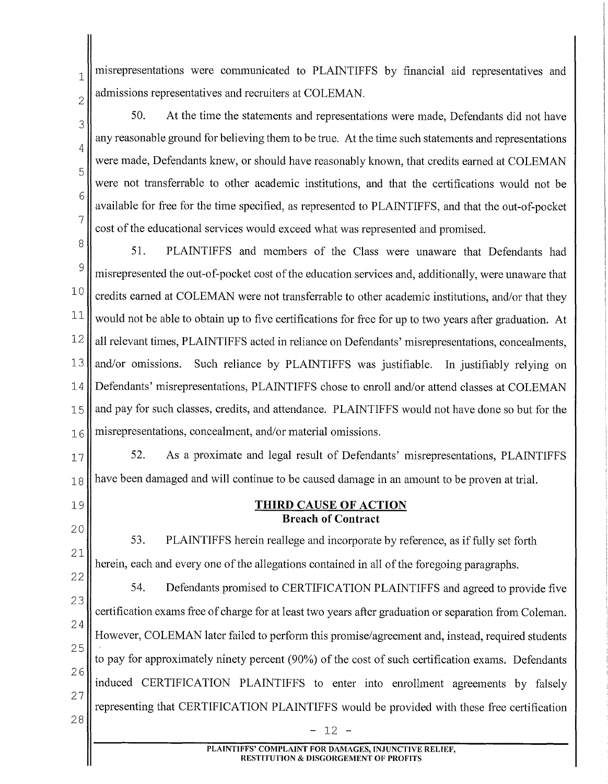$_1$  misrepresentations were communicated to PLAINTIFFS by financial aid representatives and admissions representatives and recruiters at COLEMAN.

2

3

4

5

6

7

50. At the time the statements and representations were made, Defendants did not have any reasonable ground for believing them to be true. At the time such statements and representations were made, Defendants knew, or should have reasonably known, that credits earned at COLEMAN were not transferrable to other academic institutions, and that the certifications would not be available for free for the time specified, as represented to PLAINTIFFS, and that the out-of-pocket cost of the educational services would exceed what was represented and promised.

<sup>8</sup> 51. PLAINTIFFS and members of the Class were unaware that Defendants had  $\frac{9}{9}$  misrepresented the out-of-pocket cost of the education services and, additionally, were unaware that  $10$  credits earned at COLEMAN were not transferrable to other academic institutions, and/or that they  $11$  would not be able to obtain up to five certifications for free for up to two years after graduation. At  $12$  all relevant times, PLAINTIFFS acted in reliance on Defendants' misrepresentations, concealments, 13 and/or omissions. Such reliance by PLAINTIFFS was justifiable. In justifiably relying on 14 Defendants' misrepresentations, PLAINTIFFS chose to enroll and/or attend classes at COLEMAN 15 and pay for such classes, credits, and attendance. PLAINTIFFS would not have done so but for the  $16$  misrepresentations, concealment, and/or material omissions.

17  $\parallel$  52. As a proximate and legal result of Defendants' misrepresentations, PLAINTIFFS  $18$  have been damaged and will continue to be caused damage in an amount to be proven at trial.

- 19
- 20 21

**Breach of Contract**  53. PLAINTIFFS herein reallege and incorporate by reference, as if fully set forth herein, each and every one of the allegations contained in all of the foregoing paragraphs.

**THIRD CAUSE OF ACTION** 

22 23 24 25 26 27 28 54. Defendants promised to CERTIFICATION PLAINTIFFS and agreed to provide five certification exams free of charge for at least two years after graduation or separation from Coleman. However, COLEMAN later failed to perform this promise/agreement and, instead, required students to pay for approximately ninety percent (90%) of the cost of such certification exams. Defendants induced CERTIFICATION PLAINTIFFS to enter into enrollment agreements by falsely representing that CERTIFICATION PLAINTIFFS would be provided with these free certification 12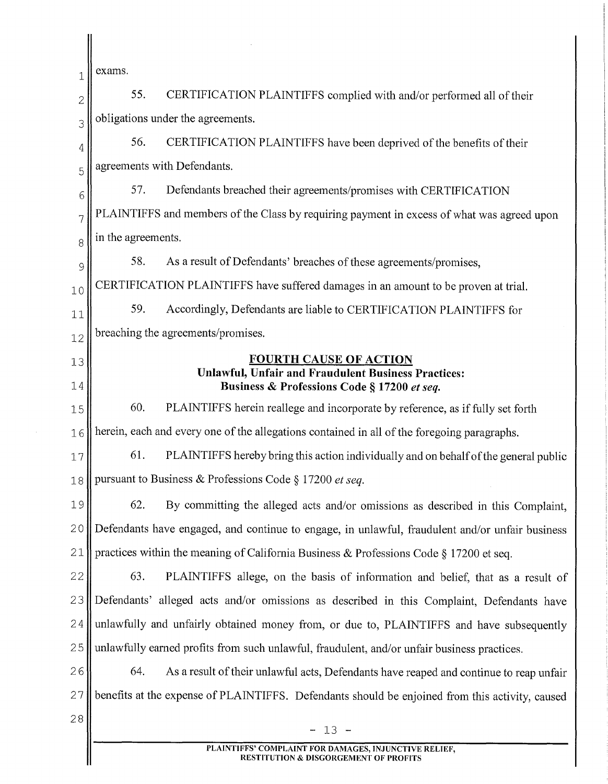| 1  | exams.                                                                                                    |  |
|----|-----------------------------------------------------------------------------------------------------------|--|
| 2  | 55.<br>CERTIFICATION PLAINTIFFS complied with and/or performed all of their                               |  |
| 3  | obligations under the agreements.                                                                         |  |
| 4  | 56.<br>CERTIFICATION PLAINTIFFS have been deprived of the benefits of their                               |  |
| 5  | agreements with Defendants.                                                                               |  |
| 6  | 57.<br>Defendants breached their agreements/promises with CERTIFICATION                                   |  |
| 7  | PLAINTIFFS and members of the Class by requiring payment in excess of what was agreed upon                |  |
| 8  | in the agreements.                                                                                        |  |
| 9  | 58.<br>As a result of Defendants' breaches of these agreements/promises,                                  |  |
| 10 | CERTIFICATION PLAINTIFFS have suffered damages in an amount to be proven at trial.                        |  |
| 11 | 59.<br>Accordingly, Defendants are liable to CERTIFICATION PLAINTIFFS for                                 |  |
| 12 | breaching the agreements/promises.                                                                        |  |
| 13 | <b>FOURTH CAUSE OF ACTION</b>                                                                             |  |
| 14 | <b>Unlawful, Unfair and Fraudulent Business Practices:</b><br>Business & Professions Code § 17200 et seq. |  |
| 15 | 60.<br>PLAINTIFFS herein reallege and incorporate by reference, as if fully set forth                     |  |
| 16 | herein, each and every one of the allegations contained in all of the foregoing paragraphs.               |  |
| 17 | 61.<br>PLAINTIFFS hereby bring this action individually and on behalf of the general public               |  |
| 18 | pursuant to Business & Professions Code § 17200 et seq.                                                   |  |
| 19 | 62.<br>By committing the alleged acts and/or omissions as described in this Complaint,                    |  |
| 20 | Defendants have engaged, and continue to engage, in unlawful, fraudulent and/or unfair business           |  |
| 21 | practices within the meaning of California Business & Professions Code § 17200 et seq.                    |  |
| 22 | 63.<br>PLAINTIFFS allege, on the basis of information and belief, that as a result of                     |  |
| 23 | Defendants' alleged acts and/or omissions as described in this Complaint, Defendants have                 |  |
| 24 | unlawfully and unfairly obtained money from, or due to, PLAINTIFFS and have subsequently                  |  |
| 25 | unlawfully earned profits from such unlawful, fraudulent, and/or unfair business practices.               |  |
| 26 | 64.<br>As a result of their unlawful acts, Defendants have reaped and continue to reap unfair             |  |
| 27 | benefits at the expense of PLAINTIFFS. Defendants should be enjoined from this activity, caused           |  |
| 28 | $-13 -$                                                                                                   |  |
|    | PLAINTIFFS' COMPLAINT FOR DAMAGES, INJUNCTIVE RELIEF,                                                     |  |
|    | <b>RESTITUTION &amp; DISGORGEMENT OF PROFITS</b>                                                          |  |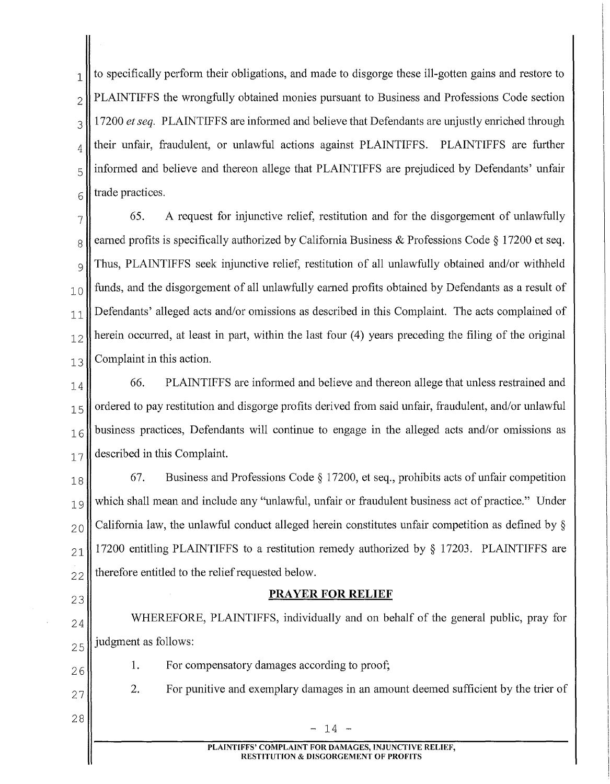$1 \parallel$  to specifically perform their obligations, and made to disgorge these ill-gotten gains and restore to  $2 \parallel$  PLAINTIFFS the wrongfully obtained monies pursuant to Business and Professions Code section 3<sup>1</sup> 17200 *et seq.* PLAINTIFFS are informed and believe that Defendants are unjustly enriched through  $_4$  | their unfair, fraudulent, or unlawful actions against PLAINTIFFS. PLAINTIFFS are further  $\frac{1}{5}$  informed and believe and thereon allege that PLAINTIFFS are prejudiced by Defendants' unfair  $6 \parallel$  trade practices.

 $7\parallel$  65. A request for injunctive relief, restitution and for the disgorgement of unlawfully  $8 \parallel$  earned profits is specifically authorized by California Business & Professions Code § 17200 et seq.  $\frac{1}{9}$  Thus, PLAINTIFFS seek injunctive relief, restitution of all unlawfully obtained and/or withheld  $_{10}$  funds, and the disgorgement of all unlawfully earned profits obtained by Defendants as a result of  $|11|$  Defendants' alleged acts and/or omissions as described in this Complaint. The acts complained of  $12$  herein occurred, at least in part, within the last four (4) years preceding the filing of the original  $13$  Complaint in this action.

 $_{14}$  66. PLAINTIFFS are informed and believe and thereon allege that unless restrained and  $15$  ordered to pay restitution and disgorge profits derived from said unfair, fraudulent, and/or unlawful  $16$  business practices, Defendants will continue to engage in the alleged acts and/or omissions as  $_{17}$  described in this Complaint.

 $18$  67. Business and Professions Code § 17200, et seq., prohibits acts of unfair competition 19 which shall mean and include any "unlawful, unfair or fraudulent business act of practice." Under  $_{20}$  California law, the unlawful conduct alleged herein constitutes unfair competition as defined by  $\S$  $_{21}$  17200 entitling PLAINTIFFS to a restitution remedy authorized by § 17203. PLAINTIFFS are  $22$  therefore entitled to the relief requested below.

# <sup>23</sup>**PRAYER FOR RELIEF**

24 WHEREFORE, PLAINTIFFS, individually and on behalf of the general public, pray for  $25$  judgment as follows:

For compensatory damages according to proof;

- 26
	-

1.

2. For punitive and exemplary damages in an amount deemed sufficient by the trier of

28

27

14